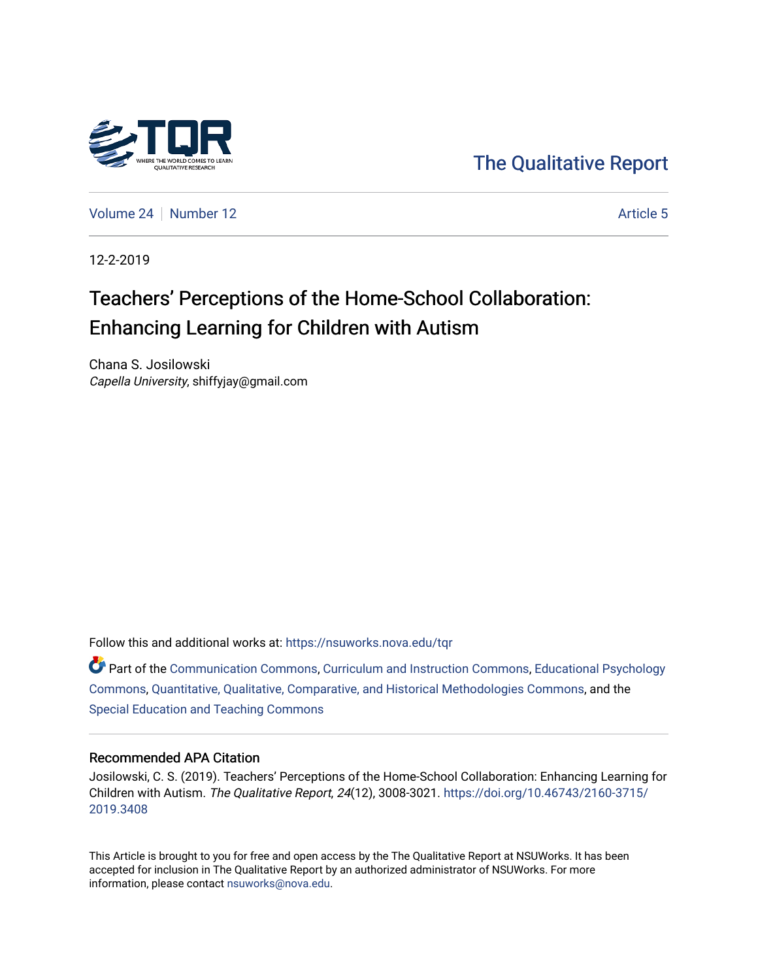

[The Qualitative Report](https://nsuworks.nova.edu/tqr) 

[Volume 24](https://nsuworks.nova.edu/tqr/vol24) [Number 12](https://nsuworks.nova.edu/tqr/vol24/iss12) Article 5

12-2-2019

## Teachers' Perceptions of the Home-School Collaboration: Enhancing Learning for Children with Autism

Chana S. Josilowski Capella University, shiffyjay@gmail.com

Follow this and additional works at: [https://nsuworks.nova.edu/tqr](https://nsuworks.nova.edu/tqr?utm_source=nsuworks.nova.edu%2Ftqr%2Fvol24%2Fiss12%2F5&utm_medium=PDF&utm_campaign=PDFCoverPages) 

**C** Part of the [Communication Commons,](http://network.bepress.com/hgg/discipline/325?utm_source=nsuworks.nova.edu%2Ftqr%2Fvol24%2Fiss12%2F5&utm_medium=PDF&utm_campaign=PDFCoverPages) [Curriculum and Instruction Commons,](http://network.bepress.com/hgg/discipline/786?utm_source=nsuworks.nova.edu%2Ftqr%2Fvol24%2Fiss12%2F5&utm_medium=PDF&utm_campaign=PDFCoverPages) Educational Psychology [Commons](http://network.bepress.com/hgg/discipline/798?utm_source=nsuworks.nova.edu%2Ftqr%2Fvol24%2Fiss12%2F5&utm_medium=PDF&utm_campaign=PDFCoverPages), [Quantitative, Qualitative, Comparative, and Historical Methodologies Commons](http://network.bepress.com/hgg/discipline/423?utm_source=nsuworks.nova.edu%2Ftqr%2Fvol24%2Fiss12%2F5&utm_medium=PDF&utm_campaign=PDFCoverPages), and the [Special Education and Teaching Commons](http://network.bepress.com/hgg/discipline/801?utm_source=nsuworks.nova.edu%2Ftqr%2Fvol24%2Fiss12%2F5&utm_medium=PDF&utm_campaign=PDFCoverPages) 

#### Recommended APA Citation

Josilowski, C. S. (2019). Teachers' Perceptions of the Home-School Collaboration: Enhancing Learning for Children with Autism. The Qualitative Report, 24(12), 3008-3021. [https://doi.org/10.46743/2160-3715/](https://doi.org/10.46743/2160-3715/2019.3408) [2019.3408](https://doi.org/10.46743/2160-3715/2019.3408) 

This Article is brought to you for free and open access by the The Qualitative Report at NSUWorks. It has been accepted for inclusion in The Qualitative Report by an authorized administrator of NSUWorks. For more information, please contact [nsuworks@nova.edu.](mailto:nsuworks@nova.edu)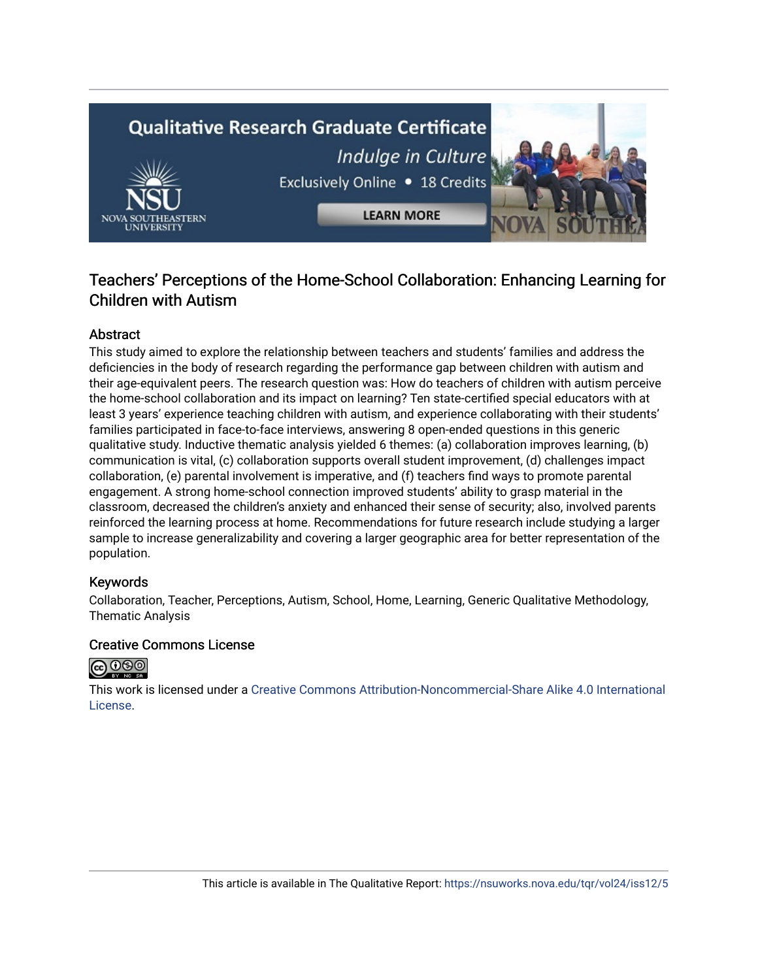# **Qualitative Research Graduate Certificate** Indulge in Culture Exclusively Online . 18 Credits **LEARN MORE**

## Teachers' Perceptions of the Home-School Collaboration: Enhancing Learning for Children with Autism

### Abstract

This study aimed to explore the relationship between teachers and students' families and address the deficiencies in the body of research regarding the performance gap between children with autism and their age-equivalent peers. The research question was: How do teachers of children with autism perceive the home-school collaboration and its impact on learning? Ten state-certified special educators with at least 3 years' experience teaching children with autism, and experience collaborating with their students' families participated in face-to-face interviews, answering 8 open-ended questions in this generic qualitative study. Inductive thematic analysis yielded 6 themes: (a) collaboration improves learning, (b) communication is vital, (c) collaboration supports overall student improvement, (d) challenges impact collaboration, (e) parental involvement is imperative, and (f) teachers find ways to promote parental engagement. A strong home-school connection improved students' ability to grasp material in the classroom, decreased the children's anxiety and enhanced their sense of security; also, involved parents reinforced the learning process at home. Recommendations for future research include studying a larger sample to increase generalizability and covering a larger geographic area for better representation of the population.

#### Keywords

Collaboration, Teacher, Perceptions, Autism, School, Home, Learning, Generic Qualitative Methodology, Thematic Analysis

#### Creative Commons License



This work is licensed under a [Creative Commons Attribution-Noncommercial-Share Alike 4.0 International](https://creativecommons.org/licenses/by-nc-sa/4.0/)  [License](https://creativecommons.org/licenses/by-nc-sa/4.0/).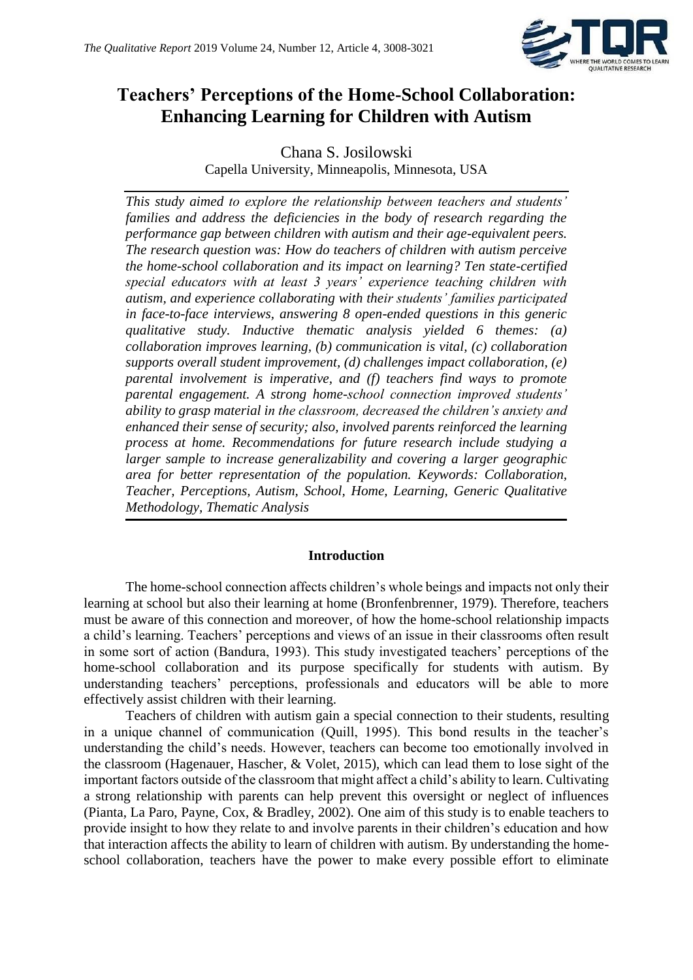

## **Teachers' Perceptions of the Home-School Collaboration: Enhancing Learning for Children with Autism**

Chana S. Josilowski Capella University, Minneapolis, Minnesota, USA

*This study aimed to explore the relationship between teachers and students' families and address the deficiencies in the body of research regarding the performance gap between children with autism and their age-equivalent peers. The research question was: How do teachers of children with autism perceive the home-school collaboration and its impact on learning? Ten state-certified special educators with at least 3 years' experience teaching children with autism, and experience collaborating with their students' families participated in face-to-face interviews, answering 8 open-ended questions in this generic qualitative study. Inductive thematic analysis yielded 6 themes: (a) collaboration improves learning, (b) communication is vital, (c) collaboration supports overall student improvement, (d) challenges impact collaboration, (e) parental involvement is imperative, and (f) teachers find ways to promote parental engagement. A strong home-school connection improved students' ability to grasp material in the classroom, decreased the children's anxiety and enhanced their sense of security; also, involved parents reinforced the learning process at home. Recommendations for future research include studying a larger sample to increase generalizability and covering a larger geographic area for better representation of the population. Keywords: Collaboration, Teacher, Perceptions, Autism, School, Home, Learning, Generic Qualitative Methodology, Thematic Analysis*

#### **Introduction**

The home-school connection affects children's whole beings and impacts not only their learning at school but also their learning at home (Bronfenbrenner, 1979). Therefore, teachers must be aware of this connection and moreover, of how the home-school relationship impacts a child's learning. Teachers' perceptions and views of an issue in their classrooms often result in some sort of action (Bandura, 1993). This study investigated teachers' perceptions of the home-school collaboration and its purpose specifically for students with autism. By understanding teachers' perceptions, professionals and educators will be able to more effectively assist children with their learning.

Teachers of children with autism gain a special connection to their students, resulting in a unique channel of communication (Quill, 1995). This bond results in the teacher's understanding the child's needs. However, teachers can become too emotionally involved in the classroom (Hagenauer, Hascher, & Volet, 2015), which can lead them to lose sight of the important factors outside of the classroom that might affect a child's ability to learn. Cultivating a strong relationship with parents can help prevent this oversight or neglect of influences (Pianta, La Paro, Payne, Cox, & Bradley, 2002). One aim of this study is to enable teachers to provide insight to how they relate to and involve parents in their children's education and how that interaction affects the ability to learn of children with autism. By understanding the homeschool collaboration, teachers have the power to make every possible effort to eliminate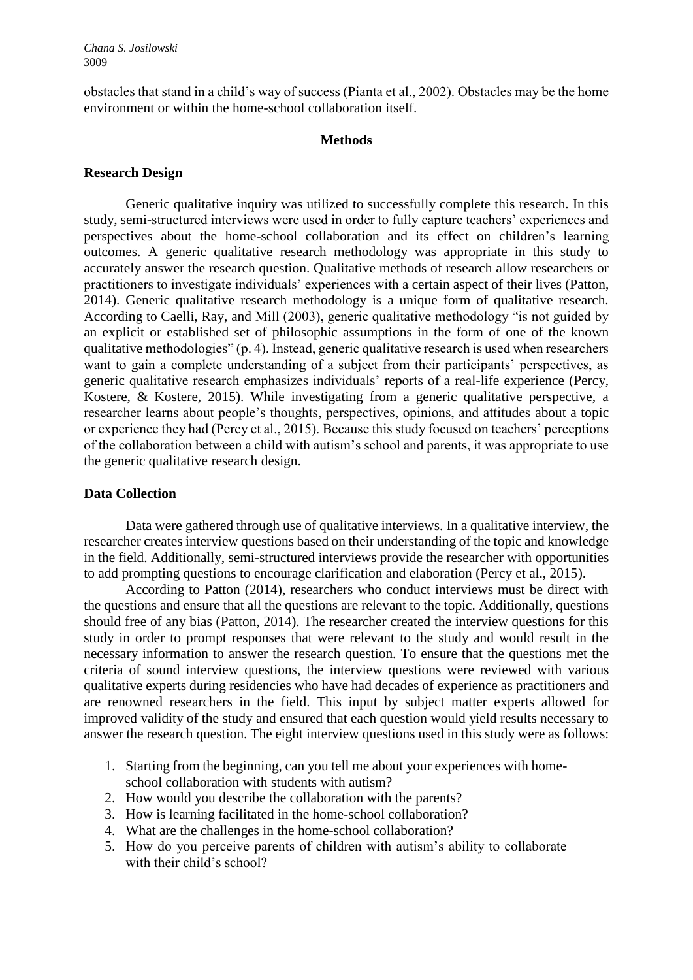*Chana S. Josilowski*  3009

obstacles that stand in a child's way of success (Pianta et al., 2002). Obstacles may be the home environment or within the home-school collaboration itself.

#### **Methods**

#### **Research Design**

Generic qualitative inquiry was utilized to successfully complete this research. In this study, semi-structured interviews were used in order to fully capture teachers' experiences and perspectives about the home-school collaboration and its effect on children's learning outcomes. A generic qualitative research methodology was appropriate in this study to accurately answer the research question. Qualitative methods of research allow researchers or practitioners to investigate individuals' experiences with a certain aspect of their lives (Patton, 2014). Generic qualitative research methodology is a unique form of qualitative research. According to Caelli, Ray, and Mill (2003), generic qualitative methodology "is not guided by an explicit or established set of philosophic assumptions in the form of one of the known qualitative methodologies" (p. 4). Instead, generic qualitative research is used when researchers want to gain a complete understanding of a subject from their participants' perspectives, as generic qualitative research emphasizes individuals' reports of a real-life experience (Percy, Kostere, & Kostere, 2015). While investigating from a generic qualitative perspective, a researcher learns about people's thoughts, perspectives, opinions, and attitudes about a topic or experience they had (Percy et al., 2015). Because this study focused on teachers' perceptions of the collaboration between a child with autism's school and parents, it was appropriate to use the generic qualitative research design.

#### **Data Collection**

Data were gathered through use of qualitative interviews. In a qualitative interview, the researcher creates interview questions based on their understanding of the topic and knowledge in the field. Additionally, semi-structured interviews provide the researcher with opportunities to add prompting questions to encourage clarification and elaboration (Percy et al., 2015).

According to Patton (2014), researchers who conduct interviews must be direct with the questions and ensure that all the questions are relevant to the topic. Additionally, questions should free of any bias (Patton, 2014). The researcher created the interview questions for this study in order to prompt responses that were relevant to the study and would result in the necessary information to answer the research question. To ensure that the questions met the criteria of sound interview questions, the interview questions were reviewed with various qualitative experts during residencies who have had decades of experience as practitioners and are renowned researchers in the field. This input by subject matter experts allowed for improved validity of the study and ensured that each question would yield results necessary to answer the research question. The eight interview questions used in this study were as follows:

- 1. Starting from the beginning, can you tell me about your experiences with homeschool collaboration with students with autism?
- 2. How would you describe the collaboration with the parents?
- 3. How is learning facilitated in the home-school collaboration?
- 4. What are the challenges in the home-school collaboration?
- 5. How do you perceive parents of children with autism's ability to collaborate with their child's school?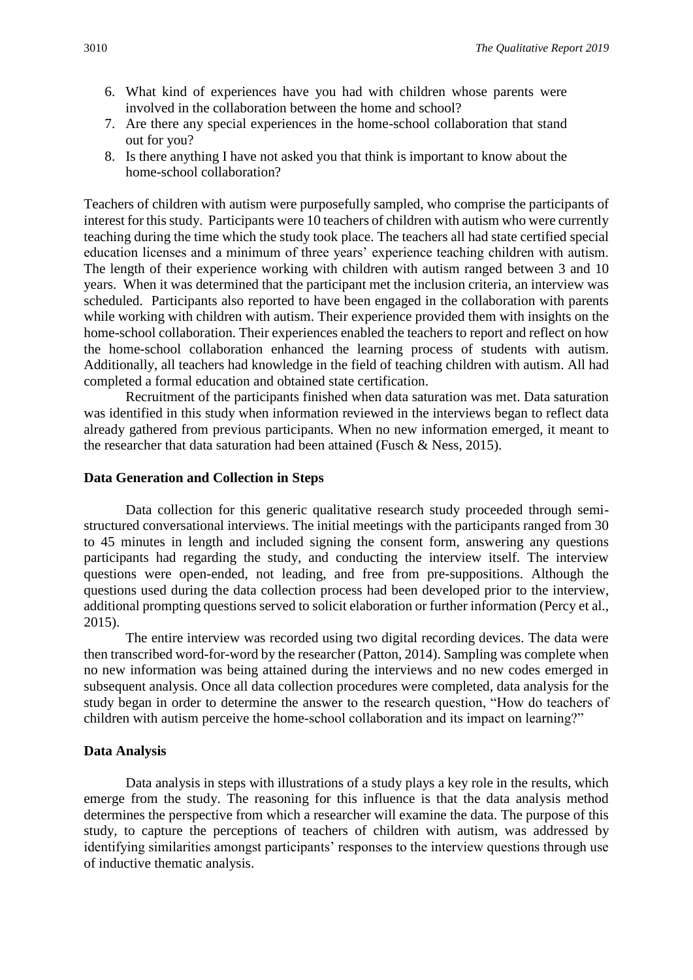- 6. What kind of experiences have you had with children whose parents were involved in the collaboration between the home and school?
- 7. Are there any special experiences in the home-school collaboration that stand out for you?
- 8. Is there anything I have not asked you that think is important to know about the home-school collaboration?

Teachers of children with autism were purposefully sampled, who comprise the participants of interest for this study. Participants were 10 teachers of children with autism who were currently teaching during the time which the study took place. The teachers all had state certified special education licenses and a minimum of three years' experience teaching children with autism. The length of their experience working with children with autism ranged between 3 and 10 years. When it was determined that the participant met the inclusion criteria, an interview was scheduled. Participants also reported to have been engaged in the collaboration with parents while working with children with autism. Their experience provided them with insights on the home-school collaboration. Their experiences enabled the teachers to report and reflect on how the home-school collaboration enhanced the learning process of students with autism. Additionally, all teachers had knowledge in the field of teaching children with autism. All had completed a formal education and obtained state certification.

Recruitment of the participants finished when data saturation was met. Data saturation was identified in this study when information reviewed in the interviews began to reflect data already gathered from previous participants. When no new information emerged, it meant to the researcher that data saturation had been attained (Fusch & Ness, 2015).

#### **Data Generation and Collection in Steps**

Data collection for this generic qualitative research study proceeded through semistructured conversational interviews. The initial meetings with the participants ranged from 30 to 45 minutes in length and included signing the consent form, answering any questions participants had regarding the study, and conducting the interview itself. The interview questions were open-ended, not leading, and free from pre-suppositions. Although the questions used during the data collection process had been developed prior to the interview, additional prompting questions served to solicit elaboration or further information (Percy et al., 2015).

The entire interview was recorded using two digital recording devices. The data were then transcribed word-for-word by the researcher (Patton, 2014). Sampling was complete when no new information was being attained during the interviews and no new codes emerged in subsequent analysis. Once all data collection procedures were completed, data analysis for the study began in order to determine the answer to the research question, "How do teachers of children with autism perceive the home-school collaboration and its impact on learning?"

#### **Data Analysis**

Data analysis in steps with illustrations of a study plays a key role in the results, which emerge from the study. The reasoning for this influence is that the data analysis method determines the perspective from which a researcher will examine the data. The purpose of this study, to capture the perceptions of teachers of children with autism, was addressed by identifying similarities amongst participants' responses to the interview questions through use of inductive thematic analysis.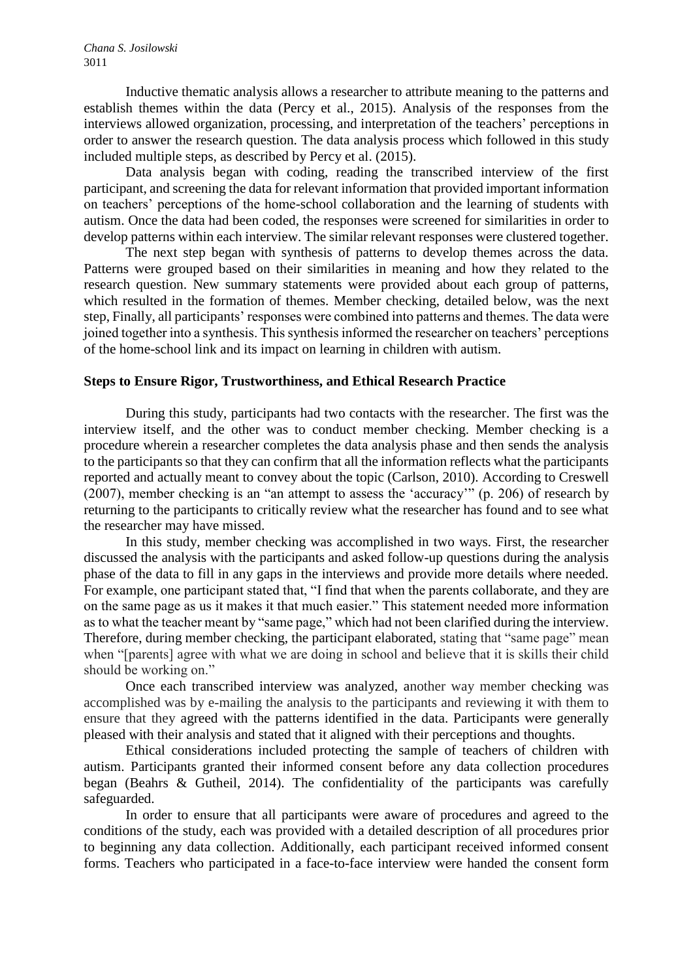Inductive thematic analysis allows a researcher to attribute meaning to the patterns and establish themes within the data (Percy et al., 2015). Analysis of the responses from the interviews allowed organization, processing, and interpretation of the teachers' perceptions in order to answer the research question. The data analysis process which followed in this study included multiple steps, as described by Percy et al. (2015).

Data analysis began with coding, reading the transcribed interview of the first participant, and screening the data for relevant information that provided important information on teachers' perceptions of the home-school collaboration and the learning of students with autism. Once the data had been coded, the responses were screened for similarities in order to develop patterns within each interview. The similar relevant responses were clustered together.

The next step began with synthesis of patterns to develop themes across the data. Patterns were grouped based on their similarities in meaning and how they related to the research question. New summary statements were provided about each group of patterns, which resulted in the formation of themes. Member checking, detailed below, was the next step, Finally, all participants' responses were combined into patterns and themes. The data were joined together into a synthesis. This synthesis informed the researcher on teachers' perceptions of the home-school link and its impact on learning in children with autism.

#### **Steps to Ensure Rigor, Trustworthiness, and Ethical Research Practice**

During this study, participants had two contacts with the researcher. The first was the interview itself, and the other was to conduct member checking. Member checking is a procedure wherein a researcher completes the data analysis phase and then sends the analysis to the participants so that they can confirm that all the information reflects what the participants reported and actually meant to convey about the topic (Carlson, 2010). According to Creswell (2007), member checking is an "an attempt to assess the 'accuracy'" (p. 206) of research by returning to the participants to critically review what the researcher has found and to see what the researcher may have missed.

In this study, member checking was accomplished in two ways. First, the researcher discussed the analysis with the participants and asked follow-up questions during the analysis phase of the data to fill in any gaps in the interviews and provide more details where needed. For example, one participant stated that, "I find that when the parents collaborate, and they are on the same page as us it makes it that much easier." This statement needed more information as to what the teacher meant by "same page," which had not been clarified during the interview. Therefore, during member checking, the participant elaborated, stating that "same page" mean when "[parents] agree with what we are doing in school and believe that it is skills their child should be working on."

Once each transcribed interview was analyzed, another way member checking was accomplished was by e-mailing the analysis to the participants and reviewing it with them to ensure that they agreed with the patterns identified in the data. Participants were generally pleased with their analysis and stated that it aligned with their perceptions and thoughts.

Ethical considerations included protecting the sample of teachers of children with autism. Participants granted their informed consent before any data collection procedures began (Beahrs & Gutheil, 2014). The confidentiality of the participants was carefully safeguarded.

In order to ensure that all participants were aware of procedures and agreed to the conditions of the study, each was provided with a detailed description of all procedures prior to beginning any data collection. Additionally, each participant received informed consent forms. Teachers who participated in a face-to-face interview were handed the consent form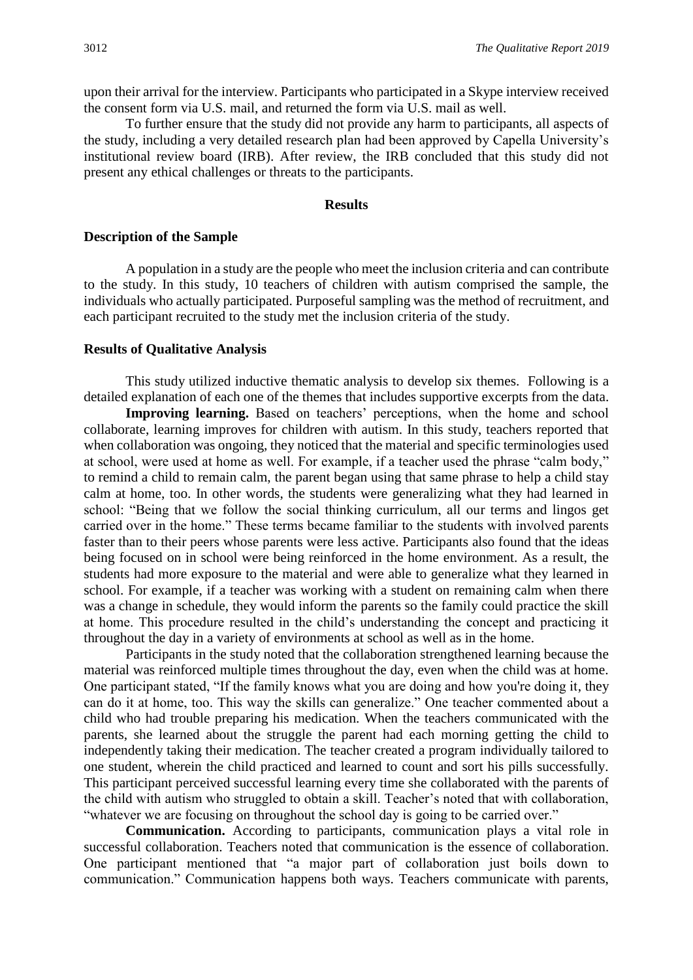upon their arrival for the interview. Participants who participated in a Skype interview received the consent form via U.S. mail, and returned the form via U.S. mail as well.

To further ensure that the study did not provide any harm to participants, all aspects of the study, including a very detailed research plan had been approved by Capella University's institutional review board (IRB). After review, the IRB concluded that this study did not present any ethical challenges or threats to the participants.

#### **Results**

#### **Description of the Sample**

A population in a study are the people who meet the inclusion criteria and can contribute to the study. In this study, 10 teachers of children with autism comprised the sample, the individuals who actually participated. Purposeful sampling was the method of recruitment, and each participant recruited to the study met the inclusion criteria of the study.

#### **Results of Qualitative Analysis**

This study utilized inductive thematic analysis to develop six themes. Following is a detailed explanation of each one of the themes that includes supportive excerpts from the data.

Improving learning. Based on teachers' perceptions, when the home and school collaborate, learning improves for children with autism. In this study, teachers reported that when collaboration was ongoing, they noticed that the material and specific terminologies used at school, were used at home as well. For example, if a teacher used the phrase "calm body," to remind a child to remain calm, the parent began using that same phrase to help a child stay calm at home, too. In other words, the students were generalizing what they had learned in school: "Being that we follow the social thinking curriculum, all our terms and lingos get carried over in the home." These terms became familiar to the students with involved parents faster than to their peers whose parents were less active. Participants also found that the ideas being focused on in school were being reinforced in the home environment. As a result, the students had more exposure to the material and were able to generalize what they learned in school. For example, if a teacher was working with a student on remaining calm when there was a change in schedule, they would inform the parents so the family could practice the skill at home. This procedure resulted in the child's understanding the concept and practicing it throughout the day in a variety of environments at school as well as in the home.

Participants in the study noted that the collaboration strengthened learning because the material was reinforced multiple times throughout the day, even when the child was at home. One participant stated, "If the family knows what you are doing and how you're doing it, they can do it at home, too. This way the skills can generalize." One teacher commented about a child who had trouble preparing his medication. When the teachers communicated with the parents, she learned about the struggle the parent had each morning getting the child to independently taking their medication. The teacher created a program individually tailored to one student, wherein the child practiced and learned to count and sort his pills successfully. This participant perceived successful learning every time she collaborated with the parents of the child with autism who struggled to obtain a skill. Teacher's noted that with collaboration, "whatever we are focusing on throughout the school day is going to be carried over."

**Communication.** According to participants, communication plays a vital role in successful collaboration. Teachers noted that communication is the essence of collaboration. One participant mentioned that "a major part of collaboration just boils down to communication." Communication happens both ways. Teachers communicate with parents,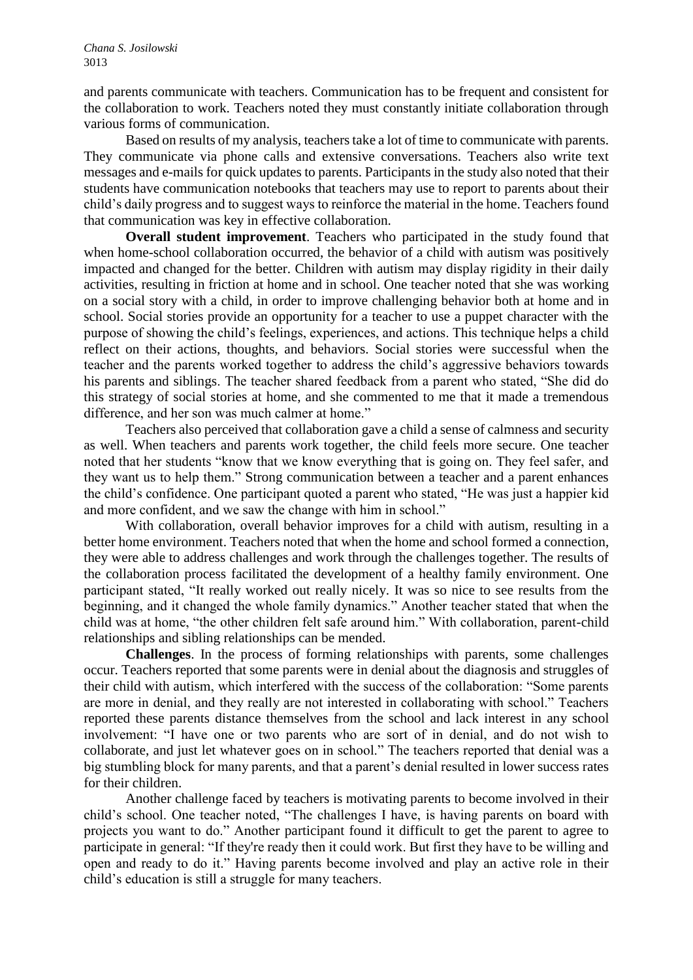and parents communicate with teachers. Communication has to be frequent and consistent for the collaboration to work. Teachers noted they must constantly initiate collaboration through various forms of communication.

Based on results of my analysis, teachers take a lot of time to communicate with parents. They communicate via phone calls and extensive conversations. Teachers also write text messages and e-mails for quick updates to parents. Participants in the study also noted that their students have communication notebooks that teachers may use to report to parents about their child's daily progress and to suggest ways to reinforce the material in the home. Teachers found that communication was key in effective collaboration.

**Overall student improvement**. Teachers who participated in the study found that when home-school collaboration occurred, the behavior of a child with autism was positively impacted and changed for the better. Children with autism may display rigidity in their daily activities, resulting in friction at home and in school. One teacher noted that she was working on a social story with a child, in order to improve challenging behavior both at home and in school. Social stories provide an opportunity for a teacher to use a puppet character with the purpose of showing the child's feelings, experiences, and actions. This technique helps a child reflect on their actions, thoughts, and behaviors. Social stories were successful when the teacher and the parents worked together to address the child's aggressive behaviors towards his parents and siblings. The teacher shared feedback from a parent who stated, "She did do this strategy of social stories at home, and she commented to me that it made a tremendous difference, and her son was much calmer at home."

Teachers also perceived that collaboration gave a child a sense of calmness and security as well. When teachers and parents work together, the child feels more secure. One teacher noted that her students "know that we know everything that is going on. They feel safer, and they want us to help them." Strong communication between a teacher and a parent enhances the child's confidence. One participant quoted a parent who stated, "He was just a happier kid and more confident, and we saw the change with him in school."

With collaboration, overall behavior improves for a child with autism, resulting in a better home environment. Teachers noted that when the home and school formed a connection, they were able to address challenges and work through the challenges together. The results of the collaboration process facilitated the development of a healthy family environment. One participant stated, "It really worked out really nicely. It was so nice to see results from the beginning, and it changed the whole family dynamics." Another teacher stated that when the child was at home, "the other children felt safe around him." With collaboration, parent-child relationships and sibling relationships can be mended.

**Challenges**. In the process of forming relationships with parents, some challenges occur. Teachers reported that some parents were in denial about the diagnosis and struggles of their child with autism, which interfered with the success of the collaboration: "Some parents are more in denial, and they really are not interested in collaborating with school." Teachers reported these parents distance themselves from the school and lack interest in any school involvement: "I have one or two parents who are sort of in denial, and do not wish to collaborate, and just let whatever goes on in school." The teachers reported that denial was a big stumbling block for many parents, and that a parent's denial resulted in lower success rates for their children.

Another challenge faced by teachers is motivating parents to become involved in their child's school. One teacher noted, "The challenges I have, is having parents on board with projects you want to do." Another participant found it difficult to get the parent to agree to participate in general: "If they're ready then it could work. But first they have to be willing and open and ready to do it." Having parents become involved and play an active role in their child's education is still a struggle for many teachers.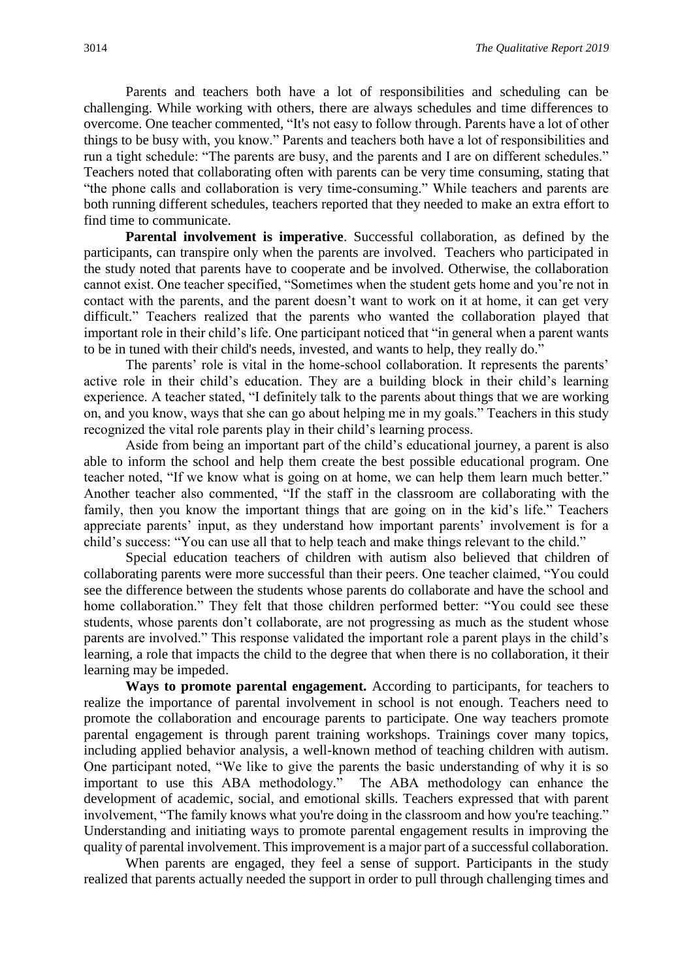Parents and teachers both have a lot of responsibilities and scheduling can be challenging. While working with others, there are always schedules and time differences to overcome. One teacher commented, "It's not easy to follow through. Parents have a lot of other things to be busy with, you know." Parents and teachers both have a lot of responsibilities and run a tight schedule: "The parents are busy, and the parents and I are on different schedules." Teachers noted that collaborating often with parents can be very time consuming, stating that "the phone calls and collaboration is very time-consuming." While teachers and parents are both running different schedules, teachers reported that they needed to make an extra effort to find time to communicate.

**Parental involvement is imperative**. Successful collaboration, as defined by the participants, can transpire only when the parents are involved. Teachers who participated in the study noted that parents have to cooperate and be involved. Otherwise, the collaboration cannot exist. One teacher specified, "Sometimes when the student gets home and you're not in contact with the parents, and the parent doesn't want to work on it at home, it can get very difficult." Teachers realized that the parents who wanted the collaboration played that important role in their child's life. One participant noticed that "in general when a parent wants to be in tuned with their child's needs, invested, and wants to help, they really do."

The parents' role is vital in the home-school collaboration. It represents the parents' active role in their child's education. They are a building block in their child's learning experience. A teacher stated, "I definitely talk to the parents about things that we are working on, and you know, ways that she can go about helping me in my goals." Teachers in this study recognized the vital role parents play in their child's learning process.

Aside from being an important part of the child's educational journey, a parent is also able to inform the school and help them create the best possible educational program. One teacher noted, "If we know what is going on at home, we can help them learn much better." Another teacher also commented, "If the staff in the classroom are collaborating with the family, then you know the important things that are going on in the kid's life." Teachers appreciate parents' input, as they understand how important parents' involvement is for a child's success: "You can use all that to help teach and make things relevant to the child."

Special education teachers of children with autism also believed that children of collaborating parents were more successful than their peers. One teacher claimed, "You could see the difference between the students whose parents do collaborate and have the school and home collaboration." They felt that those children performed better: "You could see these students, whose parents don't collaborate, are not progressing as much as the student whose parents are involved." This response validated the important role a parent plays in the child's learning, a role that impacts the child to the degree that when there is no collaboration, it their learning may be impeded.

**Ways to promote parental engagement.** According to participants, for teachers to realize the importance of parental involvement in school is not enough. Teachers need to promote the collaboration and encourage parents to participate. One way teachers promote parental engagement is through parent training workshops. Trainings cover many topics, including applied behavior analysis, a well-known method of teaching children with autism. One participant noted, "We like to give the parents the basic understanding of why it is so important to use this ABA methodology." The ABA methodology can enhance the development of academic, social, and emotional skills. Teachers expressed that with parent involvement, "The family knows what you're doing in the classroom and how you're teaching." Understanding and initiating ways to promote parental engagement results in improving the quality of parental involvement. This improvement is a major part of a successful collaboration.

When parents are engaged, they feel a sense of support. Participants in the study realized that parents actually needed the support in order to pull through challenging times and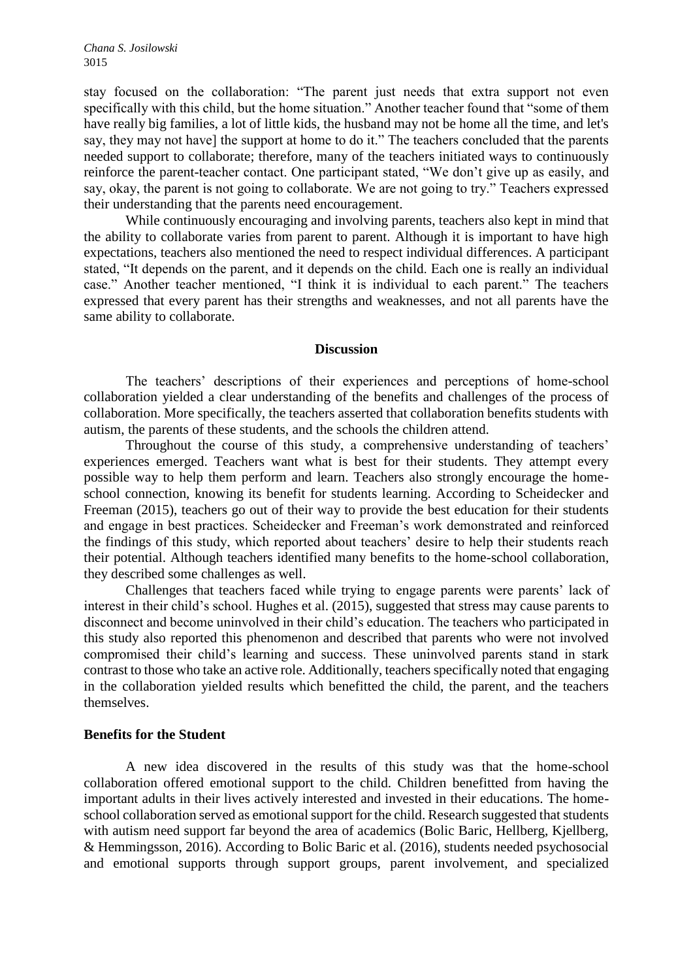stay focused on the collaboration: "The parent just needs that extra support not even specifically with this child, but the home situation." Another teacher found that "some of them have really big families, a lot of little kids, the husband may not be home all the time, and let's say, they may not have] the support at home to do it." The teachers concluded that the parents needed support to collaborate; therefore, many of the teachers initiated ways to continuously reinforce the parent-teacher contact. One participant stated, "We don't give up as easily, and say, okay, the parent is not going to collaborate. We are not going to try." Teachers expressed their understanding that the parents need encouragement.

While continuously encouraging and involving parents, teachers also kept in mind that the ability to collaborate varies from parent to parent. Although it is important to have high expectations, teachers also mentioned the need to respect individual differences. A participant stated, "It depends on the parent, and it depends on the child. Each one is really an individual case." Another teacher mentioned, "I think it is individual to each parent." The teachers expressed that every parent has their strengths and weaknesses, and not all parents have the same ability to collaborate.

#### **Discussion**

The teachers' descriptions of their experiences and perceptions of home-school collaboration yielded a clear understanding of the benefits and challenges of the process of collaboration. More specifically, the teachers asserted that collaboration benefits students with autism, the parents of these students, and the schools the children attend.

Throughout the course of this study, a comprehensive understanding of teachers' experiences emerged. Teachers want what is best for their students. They attempt every possible way to help them perform and learn. Teachers also strongly encourage the homeschool connection, knowing its benefit for students learning. According to Scheidecker and Freeman (2015), teachers go out of their way to provide the best education for their students and engage in best practices. Scheidecker and Freeman's work demonstrated and reinforced the findings of this study, which reported about teachers' desire to help their students reach their potential. Although teachers identified many benefits to the home-school collaboration, they described some challenges as well.

Challenges that teachers faced while trying to engage parents were parents' lack of interest in their child's school. Hughes et al. (2015), suggested that stress may cause parents to disconnect and become uninvolved in their child's education. The teachers who participated in this study also reported this phenomenon and described that parents who were not involved compromised their child's learning and success. These uninvolved parents stand in stark contrast to those who take an active role. Additionally, teachers specifically noted that engaging in the collaboration yielded results which benefitted the child, the parent, and the teachers themselves.

#### **Benefits for the Student**

A new idea discovered in the results of this study was that the home-school collaboration offered emotional support to the child. Children benefitted from having the important adults in their lives actively interested and invested in their educations. The homeschool collaboration served as emotional support for the child. Research suggested that students with autism need support far beyond the area of academics (Bolic Baric, Hellberg, Kjellberg, & Hemmingsson, 2016). According to Bolic Baric et al. (2016), students needed psychosocial and emotional supports through support groups, parent involvement, and specialized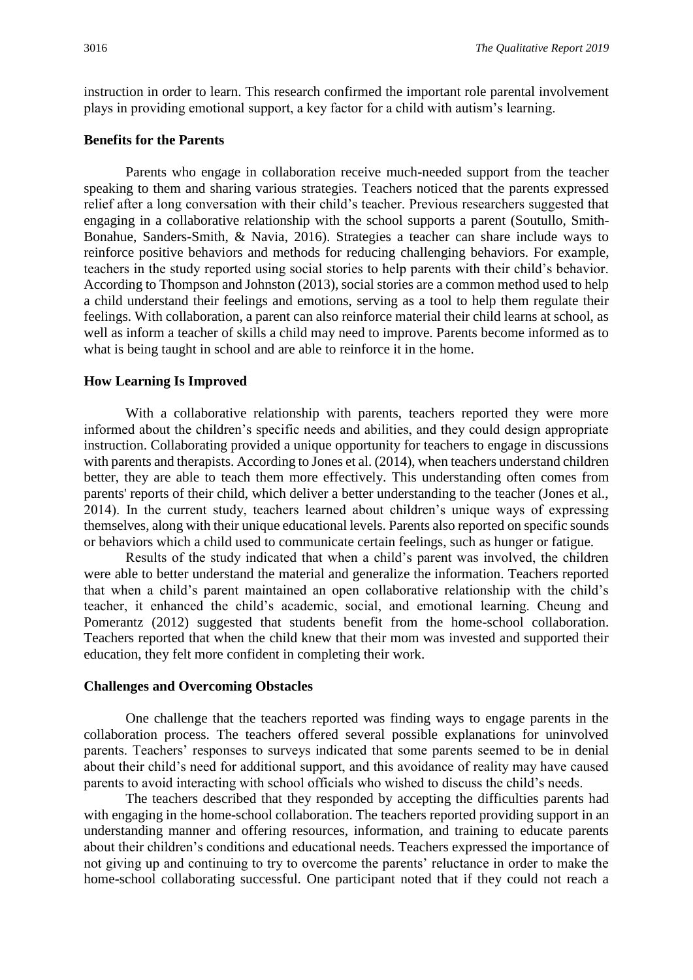instruction in order to learn. This research confirmed the important role parental involvement plays in providing emotional support, a key factor for a child with autism's learning.

#### **Benefits for the Parents**

Parents who engage in collaboration receive much-needed support from the teacher speaking to them and sharing various strategies. Teachers noticed that the parents expressed relief after a long conversation with their child's teacher. Previous researchers suggested that engaging in a collaborative relationship with the school supports a parent (Soutullo, Smith-Bonahue, Sanders-Smith, & Navia, 2016). Strategies a teacher can share include ways to reinforce positive behaviors and methods for reducing challenging behaviors. For example, teachers in the study reported using social stories to help parents with their child's behavior. According to Thompson and Johnston (2013), social stories are a common method used to help a child understand their feelings and emotions, serving as a tool to help them regulate their feelings. With collaboration, a parent can also reinforce material their child learns at school, as well as inform a teacher of skills a child may need to improve. Parents become informed as to what is being taught in school and are able to reinforce it in the home.

#### **How Learning Is Improved**

With a collaborative relationship with parents, teachers reported they were more informed about the children's specific needs and abilities, and they could design appropriate instruction. Collaborating provided a unique opportunity for teachers to engage in discussions with parents and therapists. According to Jones et al. (2014), when teachers understand children better, they are able to teach them more effectively. This understanding often comes from parents' reports of their child, which deliver a better understanding to the teacher (Jones et al., 2014). In the current study, teachers learned about children's unique ways of expressing themselves, along with their unique educational levels. Parents also reported on specific sounds or behaviors which a child used to communicate certain feelings, such as hunger or fatigue.

Results of the study indicated that when a child's parent was involved, the children were able to better understand the material and generalize the information. Teachers reported that when a child's parent maintained an open collaborative relationship with the child's teacher, it enhanced the child's academic, social, and emotional learning. Cheung and Pomerantz (2012) suggested that students benefit from the home-school collaboration. Teachers reported that when the child knew that their mom was invested and supported their education, they felt more confident in completing their work.

#### **Challenges and Overcoming Obstacles**

One challenge that the teachers reported was finding ways to engage parents in the collaboration process. The teachers offered several possible explanations for uninvolved parents. Teachers' responses to surveys indicated that some parents seemed to be in denial about their child's need for additional support, and this avoidance of reality may have caused parents to avoid interacting with school officials who wished to discuss the child's needs.

The teachers described that they responded by accepting the difficulties parents had with engaging in the home-school collaboration. The teachers reported providing support in an understanding manner and offering resources, information, and training to educate parents about their children's conditions and educational needs. Teachers expressed the importance of not giving up and continuing to try to overcome the parents' reluctance in order to make the home-school collaborating successful. One participant noted that if they could not reach a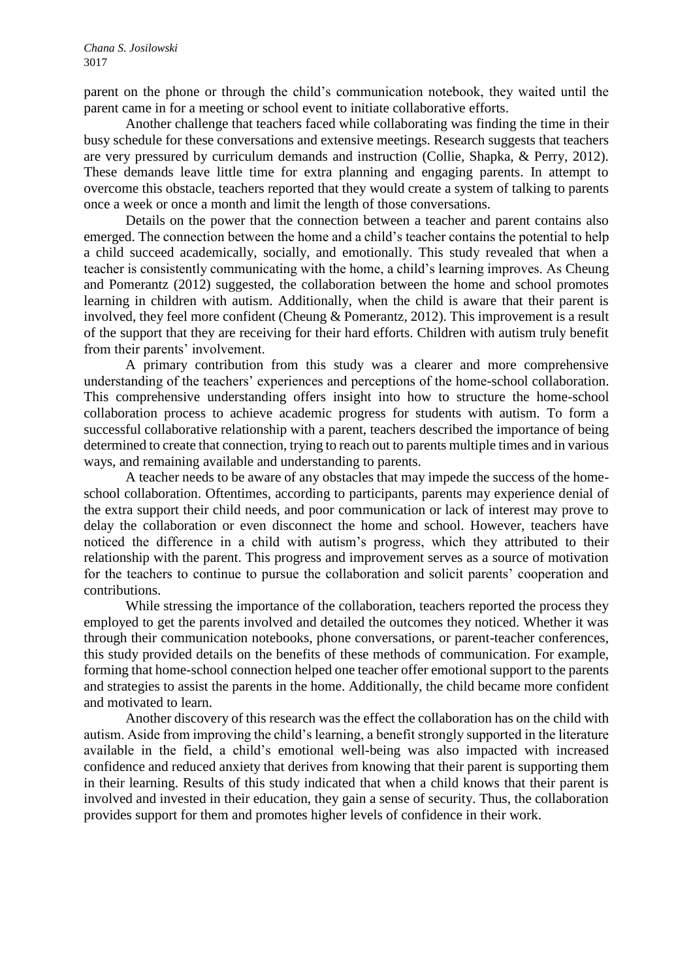parent on the phone or through the child's communication notebook, they waited until the parent came in for a meeting or school event to initiate collaborative efforts.

Another challenge that teachers faced while collaborating was finding the time in their busy schedule for these conversations and extensive meetings. Research suggests that teachers are very pressured by curriculum demands and instruction (Collie, Shapka, & Perry, 2012). These demands leave little time for extra planning and engaging parents. In attempt to overcome this obstacle, teachers reported that they would create a system of talking to parents once a week or once a month and limit the length of those conversations.

Details on the power that the connection between a teacher and parent contains also emerged. The connection between the home and a child's teacher contains the potential to help a child succeed academically, socially, and emotionally. This study revealed that when a teacher is consistently communicating with the home, a child's learning improves. As Cheung and Pomerantz (2012) suggested, the collaboration between the home and school promotes learning in children with autism. Additionally, when the child is aware that their parent is involved, they feel more confident (Cheung & Pomerantz, 2012). This improvement is a result of the support that they are receiving for their hard efforts. Children with autism truly benefit from their parents' involvement.

A primary contribution from this study was a clearer and more comprehensive understanding of the teachers' experiences and perceptions of the home-school collaboration. This comprehensive understanding offers insight into how to structure the home-school collaboration process to achieve academic progress for students with autism. To form a successful collaborative relationship with a parent, teachers described the importance of being determined to create that connection, trying to reach out to parents multiple times and in various ways, and remaining available and understanding to parents.

A teacher needs to be aware of any obstacles that may impede the success of the homeschool collaboration. Oftentimes, according to participants, parents may experience denial of the extra support their child needs, and poor communication or lack of interest may prove to delay the collaboration or even disconnect the home and school. However, teachers have noticed the difference in a child with autism's progress, which they attributed to their relationship with the parent. This progress and improvement serves as a source of motivation for the teachers to continue to pursue the collaboration and solicit parents' cooperation and contributions.

While stressing the importance of the collaboration, teachers reported the process they employed to get the parents involved and detailed the outcomes they noticed. Whether it was through their communication notebooks, phone conversations, or parent-teacher conferences, this study provided details on the benefits of these methods of communication. For example, forming that home-school connection helped one teacher offer emotional support to the parents and strategies to assist the parents in the home. Additionally, the child became more confident and motivated to learn.

Another discovery of this research was the effect the collaboration has on the child with autism. Aside from improving the child's learning, a benefit strongly supported in the literature available in the field, a child's emotional well-being was also impacted with increased confidence and reduced anxiety that derives from knowing that their parent is supporting them in their learning. Results of this study indicated that when a child knows that their parent is involved and invested in their education, they gain a sense of security. Thus, the collaboration provides support for them and promotes higher levels of confidence in their work.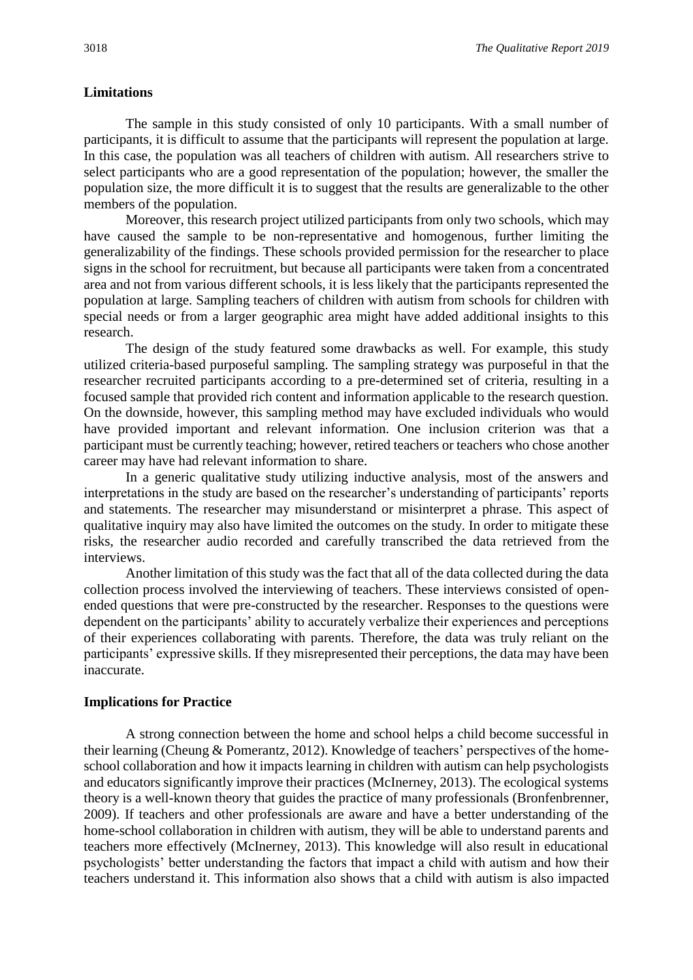#### **Limitations**

The sample in this study consisted of only 10 participants. With a small number of participants, it is difficult to assume that the participants will represent the population at large. In this case, the population was all teachers of children with autism. All researchers strive to select participants who are a good representation of the population; however, the smaller the population size, the more difficult it is to suggest that the results are generalizable to the other members of the population.

Moreover, this research project utilized participants from only two schools, which may have caused the sample to be non-representative and homogenous, further limiting the generalizability of the findings. These schools provided permission for the researcher to place signs in the school for recruitment, but because all participants were taken from a concentrated area and not from various different schools, it is less likely that the participants represented the population at large. Sampling teachers of children with autism from schools for children with special needs or from a larger geographic area might have added additional insights to this research.

The design of the study featured some drawbacks as well. For example, this study utilized criteria-based purposeful sampling. The sampling strategy was purposeful in that the researcher recruited participants according to a pre-determined set of criteria, resulting in a focused sample that provided rich content and information applicable to the research question. On the downside, however, this sampling method may have excluded individuals who would have provided important and relevant information. One inclusion criterion was that a participant must be currently teaching; however, retired teachers or teachers who chose another career may have had relevant information to share.

In a generic qualitative study utilizing inductive analysis, most of the answers and interpretations in the study are based on the researcher's understanding of participants' reports and statements. The researcher may misunderstand or misinterpret a phrase. This aspect of qualitative inquiry may also have limited the outcomes on the study. In order to mitigate these risks, the researcher audio recorded and carefully transcribed the data retrieved from the interviews.

Another limitation of this study was the fact that all of the data collected during the data collection process involved the interviewing of teachers. These interviews consisted of openended questions that were pre-constructed by the researcher. Responses to the questions were dependent on the participants' ability to accurately verbalize their experiences and perceptions of their experiences collaborating with parents. Therefore, the data was truly reliant on the participants' expressive skills. If they misrepresented their perceptions, the data may have been inaccurate.

#### **Implications for Practice**

A strong connection between the home and school helps a child become successful in their learning (Cheung & Pomerantz, 2012). Knowledge of teachers' perspectives of the homeschool collaboration and how it impacts learning in children with autism can help psychologists and educators significantly improve their practices (McInerney, 2013). The ecological systems theory is a well-known theory that guides the practice of many professionals (Bronfenbrenner, 2009). If teachers and other professionals are aware and have a better understanding of the home-school collaboration in children with autism, they will be able to understand parents and teachers more effectively (McInerney, 2013). This knowledge will also result in educational psychologists' better understanding the factors that impact a child with autism and how their teachers understand it. This information also shows that a child with autism is also impacted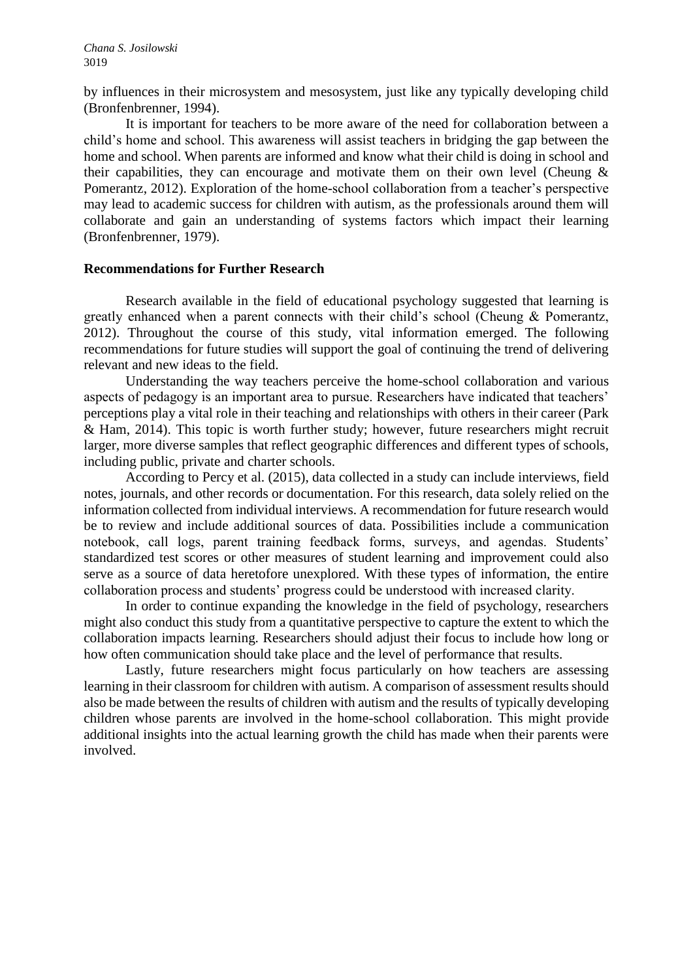by influences in their microsystem and mesosystem, just like any typically developing child (Bronfenbrenner, 1994).

It is important for teachers to be more aware of the need for collaboration between a child's home and school. This awareness will assist teachers in bridging the gap between the home and school. When parents are informed and know what their child is doing in school and their capabilities, they can encourage and motivate them on their own level (Cheung  $\&$ Pomerantz, 2012). Exploration of the home-school collaboration from a teacher's perspective may lead to academic success for children with autism, as the professionals around them will collaborate and gain an understanding of systems factors which impact their learning (Bronfenbrenner, 1979).

#### **Recommendations for Further Research**

Research available in the field of educational psychology suggested that learning is greatly enhanced when a parent connects with their child's school (Cheung & Pomerantz, 2012). Throughout the course of this study, vital information emerged. The following recommendations for future studies will support the goal of continuing the trend of delivering relevant and new ideas to the field.

Understanding the way teachers perceive the home-school collaboration and various aspects of pedagogy is an important area to pursue. Researchers have indicated that teachers' perceptions play a vital role in their teaching and relationships with others in their career (Park & Ham, 2014). This topic is worth further study; however, future researchers might recruit larger, more diverse samples that reflect geographic differences and different types of schools, including public, private and charter schools.

According to Percy et al. (2015), data collected in a study can include interviews, field notes, journals, and other records or documentation. For this research, data solely relied on the information collected from individual interviews. A recommendation for future research would be to review and include additional sources of data. Possibilities include a communication notebook, call logs, parent training feedback forms, surveys, and agendas. Students' standardized test scores or other measures of student learning and improvement could also serve as a source of data heretofore unexplored. With these types of information, the entire collaboration process and students' progress could be understood with increased clarity.

In order to continue expanding the knowledge in the field of psychology, researchers might also conduct this study from a quantitative perspective to capture the extent to which the collaboration impacts learning. Researchers should adjust their focus to include how long or how often communication should take place and the level of performance that results.

Lastly, future researchers might focus particularly on how teachers are assessing learning in their classroom for children with autism. A comparison of assessment results should also be made between the results of children with autism and the results of typically developing children whose parents are involved in the home-school collaboration. This might provide additional insights into the actual learning growth the child has made when their parents were involved.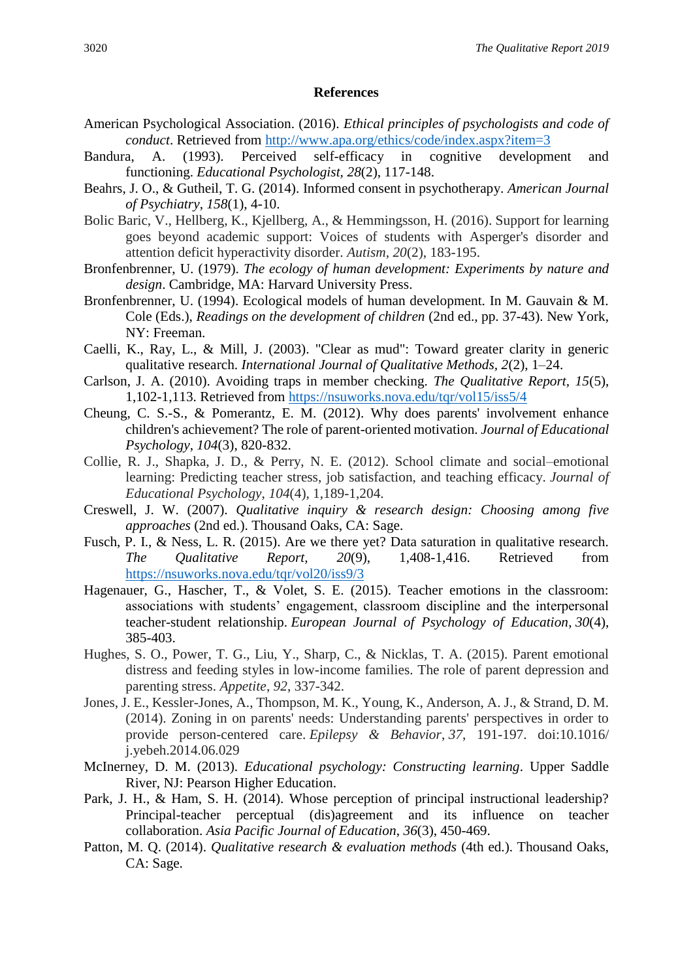#### **References**

- American Psychological Association. (2016). *Ethical principles of psychologists and code of conduct*. Retrieved from<http://www.apa.org/ethics/code/index.aspx?item=3>
- Bandura, A. (1993). Perceived self-efficacy in cognitive development and functioning. *Educational Psychologist, 28*(2), 117-148.
- Beahrs, J. O., & Gutheil, T. G. (2014). Informed consent in psychotherapy. *American Journal of Psychiatry*, *158*(1), 4-10.
- Bolic Baric, V., Hellberg, K., Kjellberg, A., & Hemmingsson, H. (2016). Support for learning goes beyond academic support: Voices of students with Asperger's disorder and attention deficit hyperactivity disorder. *Autism*, *20*(2), 183-195.
- Bronfenbrenner, U. (1979). *The ecology of human development: Experiments by nature and design*. Cambridge, MA: Harvard University Press.
- Bronfenbrenner, U. (1994). Ecological models of human development. In M. Gauvain & M. Cole (Eds.), *Readings on the development of children* (2nd ed., pp. 37-43). New York, NY: Freeman.
- Caelli, K., Ray, L., & Mill, J. (2003). "Clear as mud": Toward greater clarity in generic qualitative research. *International Journal of Qualitative Methods, 2*(2), 1–24.
- Carlson, J. A. (2010). Avoiding traps in member checking. *The Qualitative Report, 15*(5), 1,102-1,113. Retrieved from<https://nsuworks.nova.edu/tqr/vol15/iss5/4>
- Cheung, C. S.-S., & Pomerantz, E. M. (2012). Why does parents' involvement enhance children's achievement? The role of parent-oriented motivation. *Journal of Educational Psychology*, *104*(3), 820-832.
- Collie, R. J., Shapka, J. D., & Perry, N. E. (2012). School climate and social–emotional learning: Predicting teacher stress, job satisfaction, and teaching efficacy. *Journal of Educational Psychology*, *104*(4), 1,189-1,204.
- Creswell, J. W. (2007). *Qualitative inquiry & research design: Choosing among five approaches* (2nd ed.). Thousand Oaks, CA: Sage.
- Fusch, P. I., & Ness, L. R. (2015). Are we there yet? Data saturation in qualitative research. *The Qualitative Report, 20*(9), 1,408-1,416. Retrieved from <https://nsuworks.nova.edu/tqr/vol20/iss9/3>
- Hagenauer, G., Hascher, T., & Volet, S. E. (2015). Teacher emotions in the classroom: associations with students' engagement, classroom discipline and the interpersonal teacher-student relationship. *European Journal of Psychology of Education*, *30*(4), 385-403.
- Hughes, S. O., Power, T. G., Liu, Y., Sharp, C., & Nicklas, T. A. (2015). Parent emotional distress and feeding styles in low-income families. The role of parent depression and parenting stress. *Appetite*, *92*, 337-342.
- Jones, J. E., Kessler-Jones, A., Thompson, M. K., Young, K., Anderson, A. J., & Strand, D. M. (2014). Zoning in on parents' needs: Understanding parents' perspectives in order to provide person-centered care. *Epilepsy & Behavior*, *37*, 191-197. doi:10.1016/ j.yebeh.2014.06.029
- McInerney, D. M. (2013). *Educational psychology: Constructing learning*. Upper Saddle River, NJ: Pearson Higher Education.
- Park, J. H., & Ham, S. H. (2014). Whose perception of principal instructional leadership? Principal-teacher perceptual (dis)agreement and its influence on teacher collaboration. *Asia Pacific Journal of Education*, *36*(3), 450-469.
- Patton, M. Q. (2014). *Qualitative research & evaluation methods* (4th ed.). Thousand Oaks, CA: Sage.